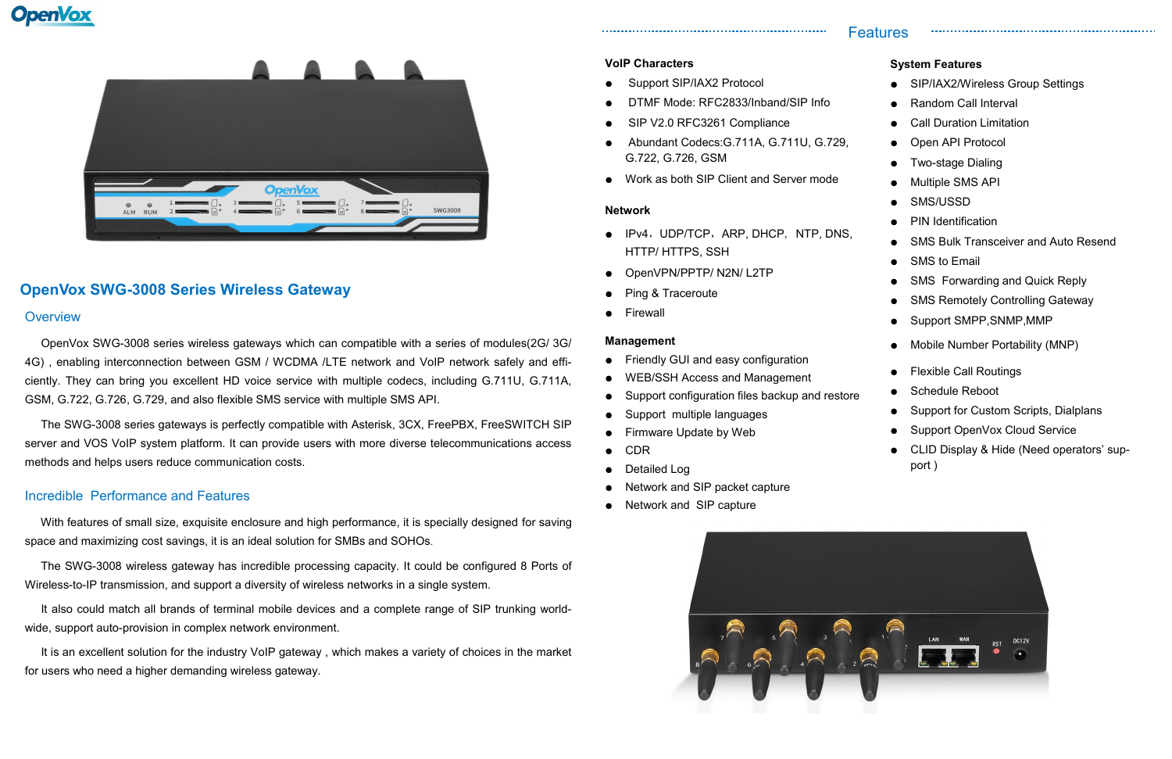

# **OpenVox SWG-3008 Series Wireless Gateway**

# **Overview**

# Incredible Performance and Features

 With features of small size, exquisite enclosure and high performance, it is specially designed for saving space and maximizing cost savings, it is an ideal solution for SMBs and SOHOs.

It also could match all brands of terminal mobile devices and a complete range of SIP trunking worldwide, support auto-provision in complex network environment.

 The SWG-3008 wireless gateway has incredible processing capacity. It could be configured 8 Ports of Wireless-to-IP transmission, and support a diversity of wireless networks in a single system.

 It is an excellent solution for the industry VoIP gateway , which makes a variety of choices in the market for users who need a higher demanding wireless gateway.

 OpenVox SWG-3008 series wireless gateways which can compatible with a series of modules(2G/ 3G/ 4G) , enabling interconnection between GSM / WCDMA /LTE network and VoIP network safely and efficiently. They can bring you excellent HD voice service with multiple codecs, including G.711U, G.711A, GSM, G.722, G.726, G.729, and also flexible SMS service with multiple SMS API.

- **Random Call Interval**
- **Call Duration Limitation**
- Open API Protocol
- **Two-stage Dialing**
- **Multiple SMS API**
- SMS/USSD
- **PIN Identification**
- **SMS Bulk Transceiver and Auto Resend**
- SMS to Email
- SMS Forwarding and Quick Reply
- SMS Remotely Controlling Gateway
- Support SMPP, SNMP, MMP
- Mobile Number Portability (MNP)
- Flexible Call Routings
- Schedule Reboot
- Support for Custom Scripts, Dialplans
- Support OpenVox Cloud Service
- CLID Display & Hide (Need operators' support )
- Friendly GUI and easy configuration
- WEB/SSH Access and Management
- Support configuration files backup and restore
- Support multiple languages
- Firmware Update by Web
- CDR
- Detailed Log
- Network and SIP packet capture
- Network and SIP capture



 The SWG-3008 series gateways is perfectly compatible with Asterisk, 3CX, FreePBX, FreeSWITCH SIP server and VOS VoIP system platform. It can provide users with more diverse telecommunications access methods and helps users reduce communication costs.

# Features

# **System Features**

● SIP/IAX2/Wireless Group Settings

#### **VoIP Characters**

- Support SIP/IAX2 Protocol
- DTMF Mode: RFC2833/Inband/SIP Info
- SIP V2.0 RFC3261 Compliance
- Abundant Codecs:G.711A, G.711U, G.729, G.722, G.726, GSM
- Work as both SIP Client and Server mode

### **Network**

- IPv4, UDP/TCP, ARP, DHCP, NTP, DNS, HTTP/ HTTPS, SSH
- OpenVPN/PPTP/ N2N/ L2TP
- Ping & Traceroute
- **Firewall**

### **Management**